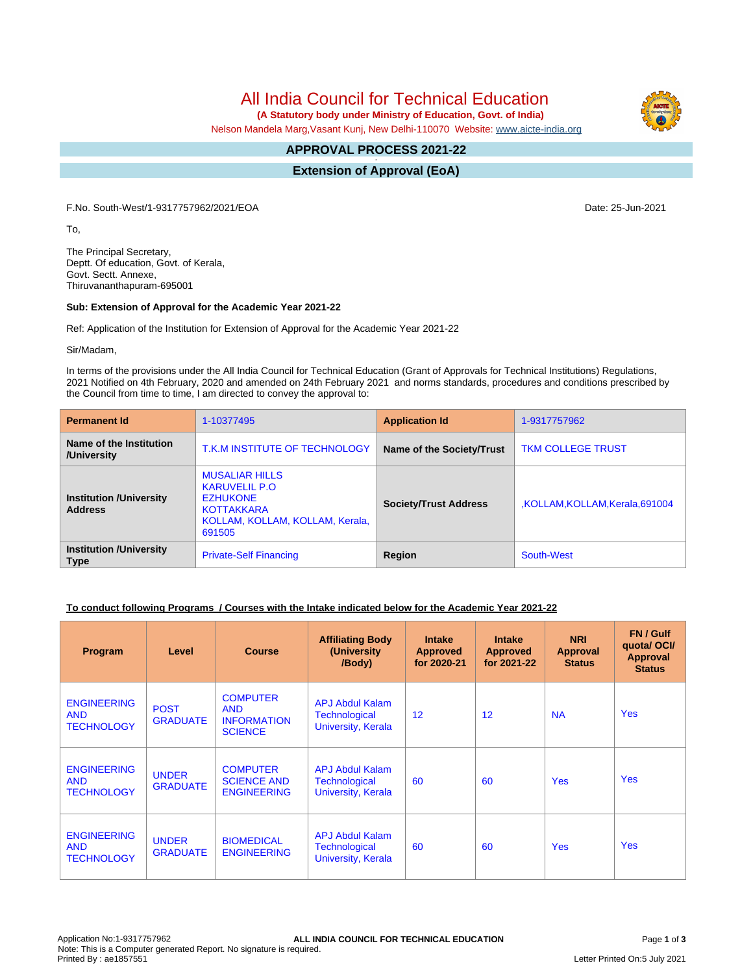All India Council for Technical Education

 **(A Statutory body under Ministry of Education, Govt. of India)**

Nelson Mandela Marg,Vasant Kunj, New Delhi-110070 Website: [www.aicte-india.org](http://www.aicte-india.org)

#### **APPROVAL PROCESS 2021-22 -**

**Extension of Approval (EoA)**

F.No. South-West/1-9317757962/2021/EOA Date: 25-Jun-2021

To,

The Principal Secretary, Deptt. Of education, Govt. of Kerala, Govt. Sectt. Annexe, Thiruvananthapuram-695001

### **Sub: Extension of Approval for the Academic Year 2021-22**

Ref: Application of the Institution for Extension of Approval for the Academic Year 2021-22

Sir/Madam,

In terms of the provisions under the All India Council for Technical Education (Grant of Approvals for Technical Institutions) Regulations, 2021 Notified on 4th February, 2020 and amended on 24th February 2021 and norms standards, procedures and conditions prescribed by the Council from time to time, I am directed to convey the approval to:

| <b>Permanent Id</b>                              | 1-10377495                                                                                                                         | <b>Application Id</b>            | 1-9317757962                   |  |
|--------------------------------------------------|------------------------------------------------------------------------------------------------------------------------------------|----------------------------------|--------------------------------|--|
| Name of the Institution<br>/University           | T.K.M INSTITUTE OF TECHNOLOGY                                                                                                      | <b>Name of the Society/Trust</b> | <b>TKM COLLEGE TRUST</b>       |  |
| <b>Institution /University</b><br><b>Address</b> | <b>MUSALIAR HILLS</b><br><b>KARUVELIL P.O</b><br><b>EZHUKONE</b><br><b>KOTTAKKARA</b><br>KOLLAM, KOLLAM, KOLLAM, Kerala,<br>691505 | <b>Society/Trust Address</b>     | KOLLAM, KOLLAM, Kerala, 691004 |  |
| <b>Institution /University</b><br><b>Type</b>    | <b>Private-Self Financing</b>                                                                                                      | Region                           | South-West                     |  |

# **To conduct following Programs / Courses with the Intake indicated below for the Academic Year 2021-22**

| Program                                               | Level                           | <b>Course</b>                                                         | <b>Affiliating Body</b><br>(University<br>/Body)                     | <b>Intake</b><br><b>Approved</b><br>for 2020-21 | <b>Intake</b><br><b>Approved</b><br>for 2021-22 | <b>NRI</b><br>Approval<br><b>Status</b> | FN / Gulf<br>quotal OCI/<br><b>Approval</b><br><b>Status</b> |
|-------------------------------------------------------|---------------------------------|-----------------------------------------------------------------------|----------------------------------------------------------------------|-------------------------------------------------|-------------------------------------------------|-----------------------------------------|--------------------------------------------------------------|
| <b>ENGINEERING</b><br><b>AND</b><br><b>TECHNOLOGY</b> | <b>POST</b><br><b>GRADUATE</b>  | <b>COMPUTER</b><br><b>AND</b><br><b>INFORMATION</b><br><b>SCIENCE</b> | APJ Abdul Kalam<br>Technological<br>University, Kerala               | 12                                              | 12                                              | <b>NA</b>                               | <b>Yes</b>                                                   |
| <b>ENGINEERING</b><br><b>AND</b><br><b>TECHNOLOGY</b> | <b>UNDER</b><br><b>GRADUATE</b> | <b>COMPUTER</b><br><b>SCIENCE AND</b><br><b>ENGINEERING</b>           | <b>APJ Abdul Kalam</b><br><b>Technological</b><br>University, Kerala | 60                                              | 60                                              | <b>Yes</b>                              | <b>Yes</b>                                                   |
| <b>ENGINEERING</b><br><b>AND</b><br><b>TECHNOLOGY</b> | <b>UNDER</b><br><b>GRADUATE</b> | <b>BIOMEDICAL</b><br><b>ENGINEERING</b>                               | <b>APJ Abdul Kalam</b><br>Technological<br>University, Kerala        | 60                                              | 60                                              | <b>Yes</b>                              | <b>Yes</b>                                                   |

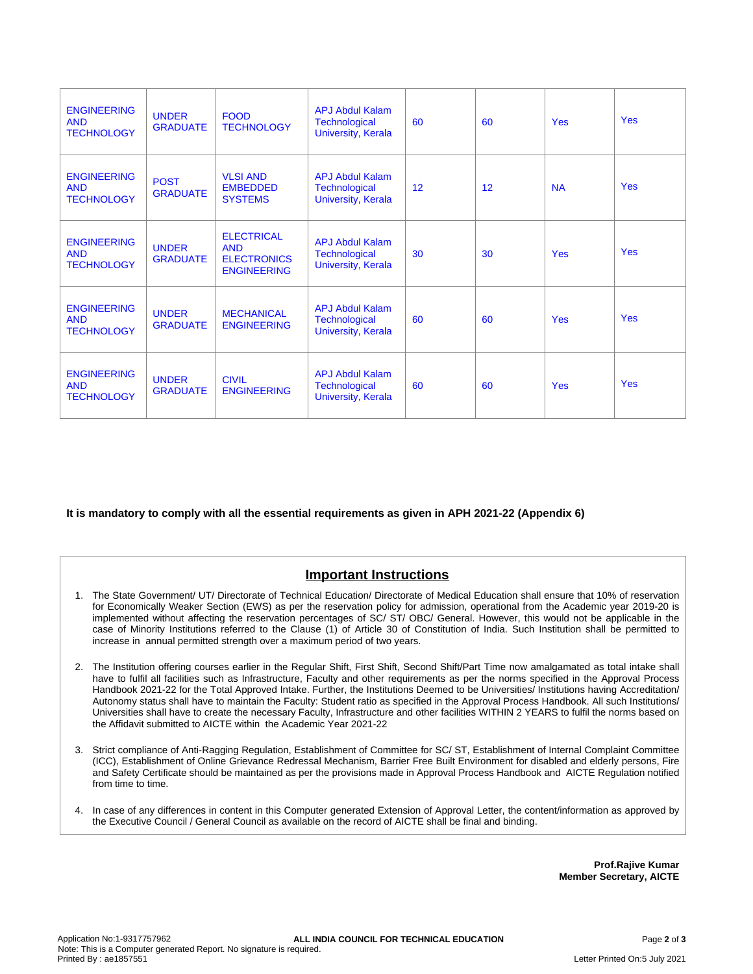| <b>ENGINEERING</b><br><b>AND</b><br><b>TECHNOLOGY</b> | <b>UNDER</b><br><b>GRADUATE</b> | <b>FOOD</b><br><b>TECHNOLOGY</b>                                            | <b>APJ Abdul Kalam</b><br><b>Technological</b><br><b>University, Kerala</b> | 60              | 60 | <b>Yes</b> | <b>Yes</b> |
|-------------------------------------------------------|---------------------------------|-----------------------------------------------------------------------------|-----------------------------------------------------------------------------|-----------------|----|------------|------------|
| <b>ENGINEERING</b><br><b>AND</b><br><b>TECHNOLOGY</b> | <b>POST</b><br><b>GRADUATE</b>  | <b>VLSI AND</b><br><b>EMBEDDED</b><br><b>SYSTEMS</b>                        | <b>APJ Abdul Kalam</b><br>Technological<br>University, Kerala               | 12 <sup>2</sup> | 12 | <b>NA</b>  | Yes        |
| <b>ENGINEERING</b><br><b>AND</b><br><b>TECHNOLOGY</b> | <b>UNDER</b><br><b>GRADUATE</b> | <b>ELECTRICAL</b><br><b>AND</b><br><b>ELECTRONICS</b><br><b>ENGINEERING</b> | <b>APJ Abdul Kalam</b><br><b>Technological</b><br><b>University, Kerala</b> | 30              | 30 | <b>Yes</b> | <b>Yes</b> |
| <b>ENGINEERING</b><br><b>AND</b><br><b>TECHNOLOGY</b> | <b>UNDER</b><br><b>GRADUATE</b> | <b>MECHANICAL</b><br><b>ENGINEERING</b>                                     | <b>APJ Abdul Kalam</b><br>Technological<br><b>University, Kerala</b>        | 60              | 60 | <b>Yes</b> | <b>Yes</b> |
| <b>ENGINEERING</b><br><b>AND</b><br><b>TECHNOLOGY</b> | <b>UNDER</b><br><b>GRADUATE</b> | <b>CIVIL</b><br><b>ENGINEERING</b>                                          | <b>APJ Abdul Kalam</b><br><b>Technological</b><br><b>University, Kerala</b> | 60              | 60 | <b>Yes</b> | <b>Yes</b> |

**It is mandatory to comply with all the essential requirements as given in APH 2021-22 (Appendix 6)**

# **Important Instructions**

- 1. The State Government/ UT/ Directorate of Technical Education/ Directorate of Medical Education shall ensure that 10% of reservation for Economically Weaker Section (EWS) as per the reservation policy for admission, operational from the Academic year 2019-20 is implemented without affecting the reservation percentages of SC/ ST/ OBC/ General. However, this would not be applicable in the case of Minority Institutions referred to the Clause (1) of Article 30 of Constitution of India. Such Institution shall be permitted to increase in annual permitted strength over a maximum period of two years.
- 2. The Institution offering courses earlier in the Regular Shift, First Shift, Second Shift/Part Time now amalgamated as total intake shall have to fulfil all facilities such as Infrastructure, Faculty and other requirements as per the norms specified in the Approval Process Handbook 2021-22 for the Total Approved Intake. Further, the Institutions Deemed to be Universities/ Institutions having Accreditation/ Autonomy status shall have to maintain the Faculty: Student ratio as specified in the Approval Process Handbook. All such Institutions/ Universities shall have to create the necessary Faculty, Infrastructure and other facilities WITHIN 2 YEARS to fulfil the norms based on the Affidavit submitted to AICTE within the Academic Year 2021-22
- 3. Strict compliance of Anti-Ragging Regulation, Establishment of Committee for SC/ ST, Establishment of Internal Complaint Committee (ICC), Establishment of Online Grievance Redressal Mechanism, Barrier Free Built Environment for disabled and elderly persons, Fire and Safety Certificate should be maintained as per the provisions made in Approval Process Handbook and AICTE Regulation notified from time to time.
- 4. In case of any differences in content in this Computer generated Extension of Approval Letter, the content/information as approved by the Executive Council / General Council as available on the record of AICTE shall be final and binding.

**Prof.Rajive Kumar Member Secretary, AICTE**